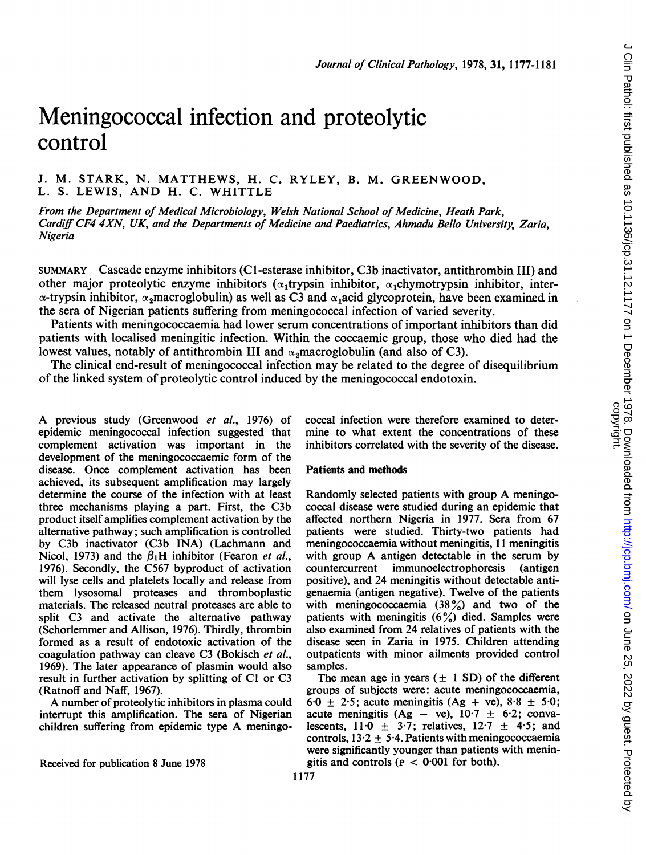# Meningococcal infection and proteolytic control

# J. M. STARK, N. MATTHEWS, H. C. RYLEY, B. M. GREENWOOD, L. S. LEWIS, AND H. C. WHITTLE

From the Department of Medical Microbiology, Welsh National School of Medicine, Heath Park, Cardiff CF4 4XN, UK, and the Departments of Medicine and Paediatrics, Ahmadu Bello University, Zaria, Nigeria

SUMMARY Cascade enzyme inhibitors (Cl-esterase inhibitor, C3b inactivator, antithrombin III) and other major proteolytic enzyme inhibitors ( $\alpha_1$ trypsin inhibitor,  $\alpha_1$ chymotrypsin inhibitor, inter- $\alpha$ -trypsin inhibitor,  $\alpha_2$ macroglobulin) as well as C3 and  $\alpha_1$ acid glycoprotein, have been examined in the sera of Nigerian patients suffering from meningococcal infection of varied severity.

Patients with meningococcaemia had lower serum concentrations of important inhibitors than did patients with localised meningitic infection. Within the coccaemic group, those who died had the lowest values, notably of antithrombin III and  $\alpha_2$ macroglobulin (and also of C3).

The clinical end-result of meningococcal infection may be related to the degree of disequilibrium of the linked system of proteolytic control induced by the meningococcal endotoxin.

A previous study (Greenwood et al., 1976) of epidemic meningococcal infection suggested that complement activation was important in the development of the meningococcaemic form of the disease. Once complement activation has been achieved, its subsequent amplification may largely determine the course of the infection with at least three mechanisms playing a part. First, the C3b product itself amplifies complement activation by the alternative pathway; such amplification is controlled by C3b inactivator (C3b INA) (Lachmann and Nicol, 1973) and the  $\beta_1$ H inhibitor (Fearon *et al.*, 1976). Secondly, the C567 byproduct of activation will lyse cells and platelets locally and release from them lysosomal proteases and thromboplastic materials. The released neutral proteases are able to split C3 and activate the alternative pathway (Schorlemmer and Allison, 1976). Thirdly, thrombin formed as a result of endotoxic activation of the coagulation pathway can cleave C3 (Bokisch et al., 1969). The later appearance of plasmin would also result in further activation by splitting of C1 or C3 (Ratnoff and Naff, 1967).

A number of proteolytic inhibitors in plasma could interrupt this amplification. The sera of Nigerian children suffering from epidemic type A meningococcal infection were therefore examined to determine to what extent the concentrations of these inhibitors correlated with the severity of the disease.

### Patients and methods

Randomly selected patients with group A meningococcal disease were studied during an epidemic that affected northern Nigeria in 1977. Sera from 67 patients were studied. Thirty-two patients had meningococcaemia without meningitis, 11 meningitis with group A antigen detectable in the serum by<br>countercurrent immunoelectrophoresis (antigen countercurrent immunoelectrophoresis positive), and 24 meningitis without detectable antigenaemia (antigen negative). Twelve of the patients with meningococcaemia  $(38\%)$  and two of the patients with meningitis  $(6\%)$  died. Samples were also examined from 24 relatives of patients with the disease seen in Zaria in 1975. Children attending outpatients with minor ailments provided control samples.

The mean age in years  $(\pm 1$  SD) of the different groups of subjects were: acute meningococcaemia, 6.0  $\pm$  2.5; acute meningitis (Ag + ve), 8.8  $\pm$  5.0; acute meningitis (Ag - ve),  $10.7 \pm 6.2$ ; convalescents,  $11\cdot 0 \pm 3\cdot 7$ ; relatives,  $12\cdot 7 \pm 4\cdot 5$ ; and controls,  $13.2 \pm 5.4$ . Patients with meningococcaemia were significantly younger than patients with meningitis and controls ( $P < 0.001$  for both).

Received for publication 8 June 1978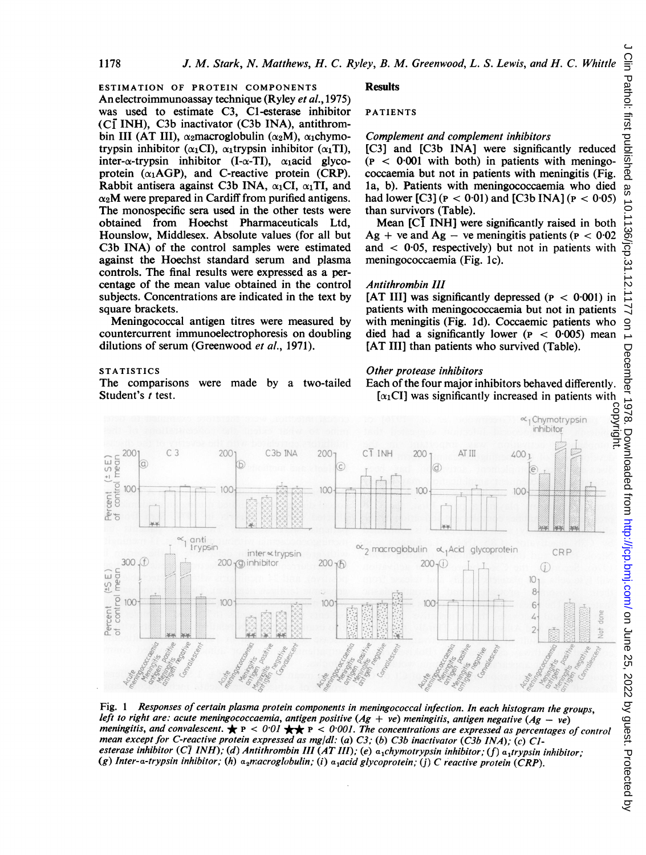ESTIMATION OF PROTEIN COMPONENTS An electroimmunoassay technique (Ryley et al., 1975) was used to estimate C3, Cl-esterase inhibitor  $(CI$  INH), C3b inactivator  $(C3b$  INA), antithrombin III (AT III),  $\alpha_2$ macroglobulin ( $\alpha_2$ M),  $\alpha_1$ chymotrypsin inhibitor ( $\alpha_1CI$ ),  $\alpha_1$ trypsin inhibitor ( $\alpha_1TI$ ), inter- $\alpha$ -trypsin inhibitor (I- $\alpha$ -TI),  $\alpha_1$ acid glycoprotein  $(\alpha_1 AGP)$ , and C-reactive protein (CRP). Rabbit antisera against C3b INA,  $\alpha_1$ CI,  $\alpha_1$ TI, and  $\alpha_2$ M were prepared in Cardiff from purified antigens. The monospecific sera used in the other tests were obtained from Hoechst Pharmaceuticals Ltd, Hounslow, Middlesex. Absolute values (for all but C3b INA) of the control samples were estimated against the Hoechst standard serum and plasma controls. The final results were expressed as a percentage of the mean value obtained in the control subjects. Concentrations are indicated in the text by square brackets.

Meningococcal antigen titres were measured by countercurrent immunoelectrophoresis on doubling dilutions of serum (Greenwood et al., 1971).

#### **STATISTICS**

The comparisons were made by a two-tailed Student's  $t$  test.

#### **Results**

#### PATIENTS

#### Complement and complement inhibitors

[C3] and [C3b INA] were significantly reduced  $(P < 0.001$  with both) in patients with meningococcaemia but not in patients with meningitis (Fig. la, b). Patients with meningococcaemia who died had lower [C3] ( $P < 0.01$ ) and [C3b INA] ( $P < 0.05$ ) than survivors (Table).

Mean [C] INH] were significantly raised in both Ag + ve and Ag – ve meningitis patients ( $P < 0.02$ ) and  $\langle 0.05,$  respectively) but not in patients with meningococcaemia (Fig. Ic).

#### Antithrombin III

[AT III] was significantly depressed ( $P < 0.001$ ) in patients with meningococcaemia but not in patients with meningitis (Fig. 1d). Coccaemic patients who died had a significantly lower ( $P < 0.005$ ) mean [AT III] than patients who survived (Table).

#### Other protease inhibitors

Each of the four major inhibitors behaved differently.  $[\alpha_1$ CI] was significantly increased in patients with



Fig. <sup>I</sup> Responses of certain plasma protein components in meningococcal infection. In each histogram the groups, left to right are: acute meningococcaemia, antigen positive  $(Ag + ve)$  meningitis, antigen negative  $(Ag - ve)$ meningitis, and convalescent.  $\star$  P < 0.01  $\star$  P < 0.001. The concentrations are expressed as percentages of control mean except for C-reactive protein expressed as mg/dl: (a) C3; (b) C3b inactivator (C3b INA); (c) C1esterase inhibitor (C<sub>1</sub> INH); (d) Antithrombin III (AT III); (e) a<sub>1</sub>chymotrypsin inhibitor; (f) a<sub>1</sub>trypsin inhibitor; (g) Inter-a-trypsin inhibitor; (h) a<sub>2</sub>macroglobulin; (i) a<sub>1</sub>acid glycoprotein; (j) C reactive protein (CRP).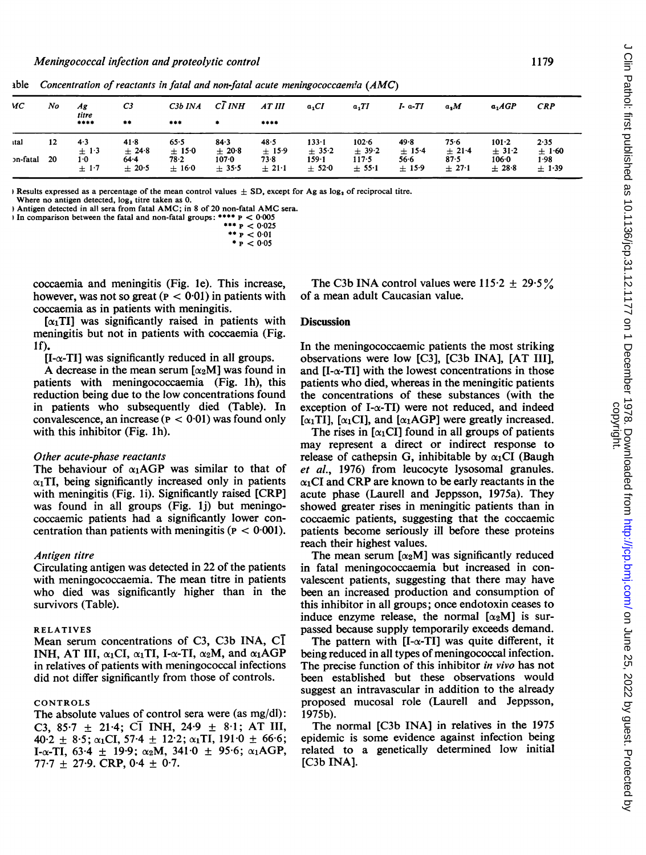| ИС       | No | Ag<br>titre<br>**** | C3<br>$***$     | $C3b$ $INA$<br>$***$ | CĪ INH<br>٠          | AT III<br>****  | $a_1CI$              | $a_1TI$             | $I a-TI$           | a, M                      | $a_1AGP$                | <b>CRP</b>             |
|----------|----|---------------------|-----------------|----------------------|----------------------|-----------------|----------------------|---------------------|--------------------|---------------------------|-------------------------|------------------------|
| ıtal     | 12 | 4.3<br>$\pm$ 1.3    | 41.8<br>$+24.8$ | 65.5<br>$\pm$ 15.0   | $84 - 3$<br>$+20.8$  | 48.5<br>$+15.9$ | $133 - 1$<br>± 35.2  | $102 - 6$<br>± 39.2 | 49.8<br>$±$ 15.4   | 75.6                      | $101 - 2$<br>$\pm$ 31.2 | 2.35                   |
| วท-fatal | 20 | 1.0<br>$+1.7$       | 64.4<br>$+20.5$ | 78.2<br>$+16.0$      | $107 - 0$<br>$+35.5$ | 73.8<br>$+21.1$ | $159 - 1$<br>$+52.0$ | 117.5<br>± 55.1     | 56.6<br>$\pm$ 15.9 | ± 21.4<br>87.5<br>$+27.1$ | $106 - 0$<br>$+28.8$    | ±1.60<br>1.98<br>±1.39 |

able Concentration of reactants in fatal and non-fatal acute meningococcaemia  $(AMC)$ 

Hesults expressed as a percentage of the mean control values  $\pm$  SD, except for Ag as  $\log_3$  of reciprocal titre.

Where no antigen detected, log, titre taken as 0.

Antigen detected in all sera from fatal AMC; in 8 of 20 non-fatal AMC sera. In comparison between the fatal and non-fatal groups: \*\*\*\*  $p < 0.005$ 

\*\*\*  $P < 0.025$ \*\*  $P < 0.01$  $*_{P}$  < 0.05

coccaemia and meningitis (Fig. 1e). This increase, however, was not so great ( $P < 0.01$ ) in patients with coccaemia as in patients with meningitis.

 $\lceil \alpha_1 \text{TI} \rceil$  was significantly raised in patients with meningitis but not in patients with coccaemia (Fig.  $1<sub>f</sub>$ 

 $[I-\alpha-TI]$  was significantly reduced in all groups.

A decrease in the mean serum  $\lceil \alpha_2 M \rceil$  was found in patients with meningococcaemia (Fig. 1h), this reduction being due to the low concentrations found in patients who subsequently died (Table). In convalescence, an increase ( $P < 0.01$ ) was found only with this inhibitor (Fig. 1h).

#### Other acute-phase reactants

The behaviour of  $\alpha_1$ AGP was similar to that of  $\alpha_1$ TI, being significantly increased only in patients with meningitis (Fig. 1i). Significantly raised [CRP] was found in all groups (Fig. 1j) but meningococcaemic patients had a significantly lower concentration than patients with meningitis ( $P < 0.001$ ).

#### Antigen titre

Circulating antigen was detected in 22 of the patients with meningococcaemia. The mean titre in patients who died was significantly higher than in the survivors (Table).

#### **RELATIVES**

Mean serum concentrations of C3, C3b INA, CI INH, AT III,  $\alpha_1CI$ ,  $\alpha_1TI$ , I- $\alpha$ -TI,  $\alpha_2M$ , and  $\alpha_1AGP$ in relatives of patients with meningococcal infections did not differ significantly from those of controls.

#### CONTROLS

The absolute values of control sera were (as mg/dl): C3, 85.7  $\pm$  21.4; C1 INH, 24.9  $\pm$  8.1; AT III,  $40.2 \pm 8.5$ ;  $\alpha_1$ CI, 57.4  $\pm$  12.2;  $\alpha_1$ TI, 191.0  $\pm$  66.6; I-α-TI, 63.4  $\pm$  19.9; α<sub>2</sub>M, 341.0  $\pm$  95.6; α<sub>1</sub>AGP, 77.7  $\pm$  27.9. CRP, 0.4  $\pm$  0.7.

The C3b INA control values were  $115.2 \pm 29.5\%$ of a mean adult Caucasian value.

# **Discussion**

In the meningococcaemic patients the most striking observations were low [C3], [C3b INA], [AT III], and  $[I-\alpha-T]$  with the lowest concentrations in those patients who died, whereas in the meningitic patients the concentrations of these substances (with the exception of I- $\alpha$ -TI) were not reduced, and indeed  $\lceil \alpha_1 \text{TI} \rceil$ ,  $\lceil \alpha_1 \text{CI} \rceil$ , and  $\lceil \alpha_1 \text{AGP} \rceil$  were greatly increased.

The rises in  $[\alpha_1CI]$  found in all groups of patients may represent a direct or indirect response to release of cathepsin G, inhibitable by  $\alpha_1CI$  (Baugh et al., 1976) from leucocyte lysosomal granules.  $\alpha_1$ CI and CRP are known to be early reactants in the acute phase (Laurell and Jeppsson, 1975a). They showed greater rises in meningitic patients than in coccaemic patients, suggesting that the coccaemic patients become seriously ill before these proteins reach their highest values.

The mean serum  $[\alpha_2 M]$  was significantly reduced in fatal meningococcaemia but increased in convalescent patients, suggesting that there may have been an increased production and consumption of this inhibitor in all groups; once endotoxin ceases to induce enzyme release, the normal  $[\alpha_2 M]$  is surpassed because supply temporarily exceeds demand.

The pattern with  $[I-\alpha-TI]$  was quite different, it being reduced in all types of meningococcal infection. The precise function of this inhibitor in vivo has not been established but these observations would suggest an intravascular in addition to the already proposed mucosal role (Laurell and Jeppsson, 1975b).

The normal [C3b INA] in relatives in the 1975 epidemic is some evidence against infection being related to a genetically determined low initial [C3b INA].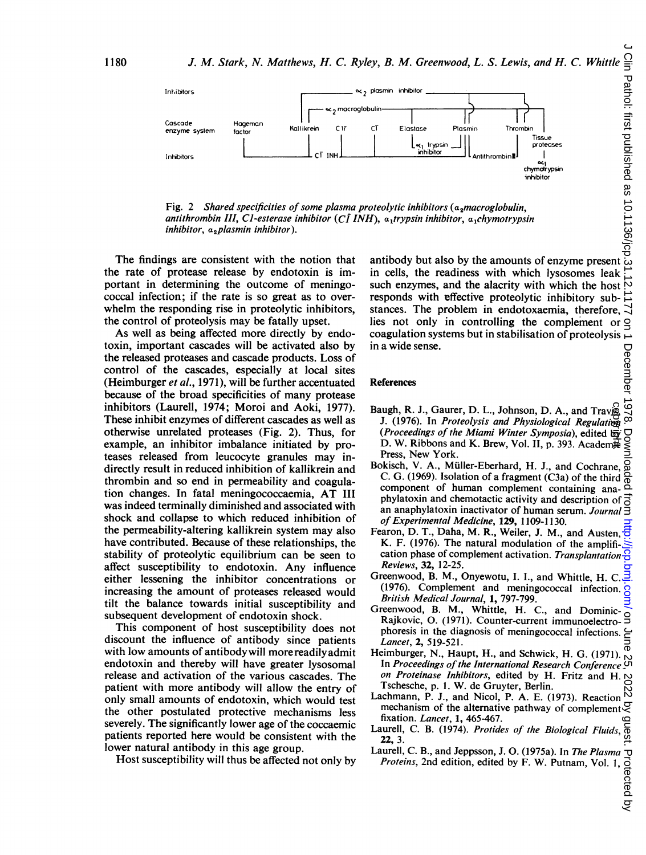

Fig. 2 Shared specificities of some plasma proteolytic inhibitors ( $a_2$ macroglobulin, antithrombin III, C1-esterase inhibitor (C $\overline{l}$  INH), a<sub>1</sub>trypsin inhibitor, a<sub>1</sub>chymotrypsin inhibitor,  $a_2$ plasmin inhibitor).

The findings are consistent with the notion that the rate of protease release by endotoxin is important in determining the outcome of meningococcal infection; if the rate is so great as to overwhelm the responding rise in proteolytic inhibitors, the control of proteolysis may be fatally upset.

As well as being affected more directly by endotoxin, important cascades will be activated also by the released proteases and cascade products. Loss of control of the cascades, especially at local sites (Heimburger et al., 1971), will be further accentuated because of the broad specificities of many protease inhibitors (Laurell, 1974; Moroi and Aoki, 1977). These inhibit enzymes of different cascades as well as otherwise unrelated proteases (Fig. 2). Thus, for example, an inhibitor imbalance initiated by proteases released from leucocyte granules may indirectly result in reduced inhibition of kallikrein and thrombin and so end in permeability and coagulation changes. In fatal meningococcaemia, AT III was indeed terminally diminished and associated with shock and collapse to which reduced inhibition of the permeability-altering kallikrein system may also have contributed. Because of these relationships, the stability of proteolytic equilibrium can be seen to affect susceptibility to endotoxin. Any influence either lessening the inhibitor concentrations or increasing the amount of proteases released would tilt the balance towards initial susceptibility and subsequent development of endotoxin shock.

This component of host susceptibility does not discount the influence of antibody since patients with low amounts of antibody will morereadilyadmit endotoxin and thereby will have greater lysosomal release and activation of the various cascades. The patient with more antibody will allow the entry of only small amounts of endotoxin, which would test the other postulated protective mechanisms less severely. The significantly lower age of the coccaemic patients reported here would be consistent with the lower natural antibody in this age group.

Host susceptibility will thus be affected not only by

antibody but also by the amounts of enzyme present in cells, the readiness with which lysosomes leak such enzymes, and the alacrity with which the host  $\aleph$ responds with effective proteolytic inhibitory sub- $\vec{\Delta}$ stances. The problem in endotoxaemia, therefore,  $\exists$ lies not only in controlling the complement or  $\Omega$ coagulation systems but in stabilisation of proteolysis  $\overline{\mathcal{L}}$ in a wide sense.

#### **References**

- In a wide sense.<br>
References<br>
Baugh, R. J., Gaurer, D. L., Johnson, D. A., and Travis,<br>
J. (1976). In *Proteolysis and Physiological Regulation*  $\frac{30}{100}$ J. (1976). In Proteolysis and Physiological Regulation (Proceedings of the Miami Winter Symposia), edited by D. W. Ribbons and K. Brew, Vol. II, p. 393. Academic Press, New York.
- Bokisch, V. A., Muller-Eberhard, H. J., and Cochrane, C. G. (1969). Isolation of a fragment (C3a) of the third component of human complement containing anaphylatoxin and chemotactic activity and description of  $\vec{a}$ an anaphylatoxin inactivator of human serum. Journal  $\breve{\exists}$ of Experimental Medicine, 129, 1109-1130. Iugh, R. J., Gaurer, D. L., Johnson, D. A., and Travis,  $1(1976)$ . In *Proteobysis and Physiological Regulation* (*Proceedings of the Miami Winter Symposia*), edited by  $N$ . Ribbons and K. Brew, Vol. II, p. 393. Academigre
- Fearon, D. T., Daha, M. R., Weiler, J. M., and Austen, K. F. (1976). The natural modulation of the amplification phase of complement activation. Transplantation  $\frac{1}{2}$ Reviews, 32, 12-25.
- Greenwood, B. M., Onyewotu, I. I., and Whittle, H. C. (1976). Complement and meningococcal infection. British Medical Journal, 1, 797-799.
- Greenwood, B. M., Whittle, H. C., and Dominic-Rajkovic, 0. (1971). Counter-current immunoelectrophoresis in the diagnosis of meningococcal infections. Lancet, 2, 519-521.
- Heimburger, N., Haupt, H., and Schwick, H. G. (1971). In Proceedings of the International Research Conference  $\sigma$  In Proceedings of the International Research Conference  $\sigma$ on Proteinase Inhibitors, edited by H. Fritz and H.  $\sim$ Tschesche, p. 1. W. de Gruyter, Berlin.
- Lachmann, P. J., and Nicol, P. A. E. (1973). Reaction  $\stackrel{\sim}{\circ}$  mechanism of the alternative pathway of complement  $\stackrel{\sim}{\circ}$ mechanism of the alternative pathway of complement fixation. Lancet, 1, 465-467.
- mixation. *Lancet*, **1,** 465-467.<br>Laurell, C. B. (1974). *Protides of the Biological Fluids*,  $\frac{6}{6}$ <br>22. 3 22, 3.
- Laurell, C. B., and Jeppsson, J. O. (1975a). In *The Plasma*  $\neg$ <br>*Proteins*, 2nd edition, edited by F. W. Putnam, Vol. 1,  $\frac{1}{0}$ <br> $\frac{1}{0}$ <br> $\frac{1}{0}$